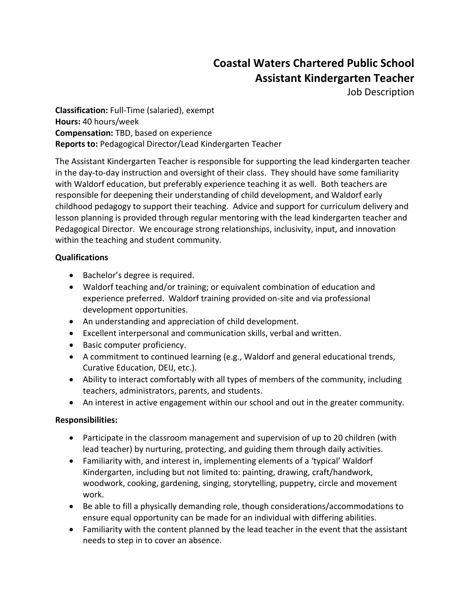## **Coastal Waters Chartered Public School Assistant Kindergarten Teacher**

Job Description

**Classification:** Full-Time (salaried), exempt **Hours:** 40 hours/week **Compensation:** TBD, based on experience **Reports to:** Pedagogical Director/Lead Kindergarten Teacher

The Assistant Kindergarten Teacher is responsible for supporting the lead kindergarten teacher in the day-to-day instruction and oversight of their class. They should have some familiarity with Waldorf education, but preferably experience teaching it as well. Both teachers are responsible for deepening their understanding of child development, and Waldorf early childhood pedagogy to support their teaching. Advice and support for curriculum delivery and lesson planning is provided through regular mentoring with the lead kindergarten teacher and Pedagogical Director. We encourage strong relationships, inclusivity, input, and innovation within the teaching and student community.

## **Qualifications**

- Bachelor's degree is required.
- Waldorf teaching and/or training; or equivalent combination of education and experience preferred. Waldorf training provided on-site and via professional development opportunities.
- An understanding and appreciation of child development.
- Excellent interpersonal and communication skills, verbal and written.
- Basic computer proficiency.
- A commitment to continued learning (e.g., Waldorf and general educational trends, Curative Education, DEIJ, etc.).
- Ability to interact comfortably with all types of members of the community, including teachers, administrators, parents, and students.
- An interest in active engagement within our school and out in the greater community.

## **Responsibilities:**

- Participate in the classroom management and supervision of up to 20 children (with lead teacher) by nurturing, protecting, and guiding them through daily activities.
- Familiarity with, and interest in, implementing elements of a 'typical' Waldorf Kindergarten, including but not limited to: painting, drawing, craft/handwork, woodwork, cooking, gardening, singing, storytelling, puppetry, circle and movement work.
- Be able to fill a physically demanding role, though considerations/accommodations to ensure equal opportunity can be made for an individual with differing abilities.
- Familiarity with the content planned by the lead teacher in the event that the assistant needs to step in to cover an absence.